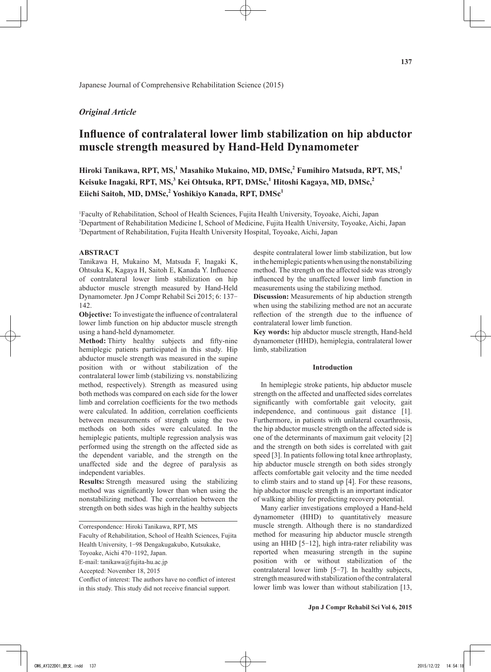# *Original Article*

# **Influence of contralateral lower limb stabilization on hip abductor muscle strength measured by Hand-Held Dynamometer**

**Hiroki Tanikawa, RPT, MS,<sup>1</sup> Masahiko Mukaino, MD, DMSc,<sup>2</sup> Fumihiro Matsuda, RPT, MS,<sup>1</sup> Keisuke Inagaki, RPT, MS,<sup>3</sup> Kei Ohtsuka, RPT, DMSc,<sup>1</sup> Hitoshi Kagaya, MD, DMSc,<sup>2</sup> Eiichi Saitoh, MD, DMSc,<sup>2</sup> Yoshikiyo Kanada, RPT, DMSc<sup>1</sup>**

1 Faculty of Rehabilitation, School of Health Sciences, Fujita Health University, Toyoake, Aichi, Japan 2 Department of Rehabilitation Medicine I, School of Medicine, Fujita Health University, Toyoake, Aichi, Japan 3 Department of Rehabilitation, Fujita Health University Hospital, Toyoake, Aichi, Japan

#### **ABSTRACT**

Tanikawa H, Mukaino M, Matsuda F, Inagaki K, Ohtsuka K, Kagaya H, Saitoh E, Kanada Y. Influence of contralateral lower limb stabilization on hip abductor muscle strength measured by Hand-Held Dynamometer. Jpn J Compr Rehabil Sci 2015; 6: 137- 142.

**Objective:** To investigate the influence of contralateral lower limb function on hip abductor muscle strength using a hand-held dynamometer.

**Method:** Thirty healthy subjects and fifty-nine hemiplegic patients participated in this study. Hip abductor muscle strength was measured in the supine position with or without stabilization of the contralateral lower limb (stabilizing vs. nonstabilizing method, respectively). Strength as measured using both methods was compared on each side for the lower limb and correlation coefficients for the two methods were calculated. In addition, correlation coefficients between measurements of strength using the two methods on both sides were calculated. In the hemiplegic patients, multiple regression analysis was performed using the strength on the affected side as the dependent variable, and the strength on the unaffected side and the degree of paralysis as independent variables.

**Results:** Strength measured using the stabilizing method was significantly lower than when using the nonstabilizing method. The correlation between the strength on both sides was high in the healthy subjects

Faculty of Rehabilitation, School of Health Sciences, Fujita Health University, 1-98 Dengakugakubo, Kutsukake,

Toyoake, Aichi 470-1192, Japan.

E-mail: tanikawa@fujita-hu.ac.jp

Accepted: November 18, 2015

Conflict of interest: The authors have no conflict of interest in this study. This study did not receive financial support.

despite contralateral lower limb stabilization, but low in the hemiplegic patients when using the nonstabilizing method. The strength on the affected side was strongly influenced by the unaffected lower limb function in measurements using the stabilizing method.

**Discussion:** Measurements of hip abduction strength when using the stabilizing method are not an accurate reflection of the strength due to the influence of contralateral lower limb function.

**Key words:** hip abductor muscle strength, Hand-held dynamometer (HHD), hemiplegia, contralateral lower limb, stabilization

# **Introduction**

In hemiplegic stroke patients, hip abductor muscle strength on the affected and unaffected sides correlates significantly with comfortable gait velocity, gait independence, and continuous gait distance [1]. Furthermore, in patients with unilateral coxarthrosis, the hip abductor muscle strength on the affected side is one of the determinants of maximum gait velocity [2] and the strength on both sides is correlated with gait speed [3]. In patients following total knee arthroplasty, hip abductor muscle strength on both sides strongly affects comfortable gait velocity and the time needed to climb stairs and to stand up [4]. For these reasons, hip abductor muscle strength is an important indicator of walking ability for predicting recovery potential.

Many earlier investigations employed a Hand-held dynamometer (HHD) to quantitatively measure muscle strength. Although there is no standardized method for measuring hip abductor muscle strength using an HHD [5-12], high intra-rater reliability was reported when measuring strength in the supine position with or without stabilization of the contralateral lower limb [5-7]. In healthy subjects, strength measured with stabilization of the contralateral lower limb was lower than without stabilization [13,

Correspondence: Hiroki Tanikawa, RPT, MS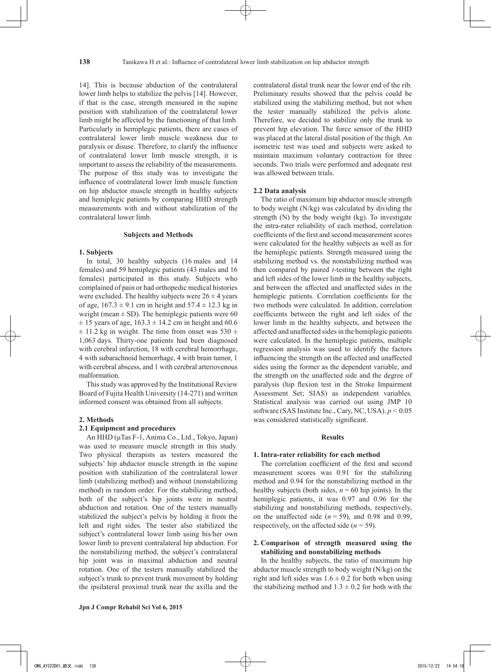14]. This is because abduction of the contralateral lower limb helps to stabilize the pelvis [14]. However, if that is the case, strength measured in the supine position with stabilization of the contralateral lower limb might be affected by the functioning of that limb. Particularly in hemiplegic patients, there are cases of contralateral lower limb muscle weakness due to paralysis or disuse. Therefore, to clarify the influence of contralateral lower limb muscle strength, it is important to assess the reliability of the measurements. The purpose of this study was to investigate the influence of contralateral lower limb muscle function on hip abductor muscle strength in healthy subjects and hemiplegic patients by comparing HHD strength measurements with and without stabilization of the contralateral lower limb.

#### **Subjects and Methods**

#### **1. Subjects**

In total, 30 healthy subjects (16 males and 14 females) and 59 hemiplegic patients (43 males and 16 females) participated in this study. Subjects who complained of pain or had orthopedic medical histories were excluded. The healthy subjects were  $26 \pm 4$  years of age,  $167.3 \pm 9.1$  cm in height and  $57.4 \pm 12.3$  kg in weight (mean  $\pm$  SD). The hemiplegic patients were 60  $\pm$  15 years of age, 163.3  $\pm$  14.2 cm in height and 60.6  $\pm$  11.2 kg in weight. The time from onset was 530  $\pm$ 1,063 days. Thirty-one patients had been diagnosed with cerebral infarction, 18 with cerebral hemorrhage, 4 with subarachnoid hemorrhage, 4 with brain tumor, 1 with cerebral abscess, and 1 with cerebral arteriovenous malformation.

This study was approved by the Institutional Review Board of Fujita Health University (14-271) and written informed consent was obtained from all subjects.

#### **2. Methods**

## **2.1 Equipment and procedures**

An HHD (μTas F-1, Anima Co., Ltd., Tokyo, Japan) was used to measure muscle strength in this study. Two physical therapists as testers measured the subjects' hip abductor muscle strength in the supine position with stabilization of the contralateral lower limb (stabilizing method) and without (nonstabilizing method) in random order. For the stabilizing method, both of the subject's hip joints were in neutral abduction and rotation. One of the testers manually stabilized the subject's pelvis by holding it from the left and right sides. The tester also stabilized the subject's contralateral lower limb using his/her own lower limb to prevent contralateral hip abduction. For the nonstabilizing method, the subject's contralateral hip joint was in maximal abduction and neutral rotation. One of the testers manually stabilized the subject's trunk to prevent trunk movement by holding the ipsilateral proximal trunk near the axilla and the contralateral distal trunk near the lower end of the rib. Preliminary results showed that the pelvis could be stabilized using the stabilizing method, but not when the tester manually stabilized the pelvis alone. Therefore, we decided to stabilize only the trunk to prevent hip elevation. The force sensor of the HHD was placed at the lateral distal position of the thigh. An isometric test was used and subjects were asked to maintain maximum voluntary contraction for three seconds. Two trials were performed and adequate rest was allowed between trials.

#### **2.2 Data analysis**

The ratio of maximum hip abductor muscle strength to body weight (N/kg) was calculated by dividing the strength (N) by the body weight (kg). To investigate the intra-rater reliability of each method, correlation coefficients of the first and second measurement scores were calculated for the healthy subjects as well as for the hemiplegic patients. Strength measured using the stabilizing method vs. the nonstabilizing method was then compared by paired *t*-testing between the right and left sides of the lower limb in the healthy subjects, and between the affected and unaffected sides in the hemiplegic patients. Correlation coefficients for the two methods were calculated. In addition, correlation coefficients between the right and left sides of the lower limb in the healthy subjects, and between the affected and unaffected sides in the hemiplegic patients were calculated. In the hemiplegic patients, multiple regression analysis was used to identify the factors influencing the strength on the affected and unaffected sides using the former as the dependent variable, and the strength on the unaffected side and the degree of paralysis (hip flexion test in the Stroke Impairment Assessment Set; SIAS) as independent variables. Statistical analysis was carried out using JMP 10 software (SAS Institute Inc., Cary, NC, USA). *p* < 0.05 was considered statistically significant.

#### **Results**

### **1. Intra-rater reliability for each method**

The correlation coefficient of the first and second measurement scores was 0.91 for the stabilizing method and 0.94 for the nonstabilizing method in the healthy subjects (both sides,  $n = 60$  hip joints). In the hemiplegic patients, it was 0.97 and 0.96 for the stabilizing and nonstabilizing methods, respectively, on the unaffected side  $(n = 59)$ , and 0.98 and 0.99, respectively, on the affected side  $(n = 59)$ .

# **2. Comparison of strength measured using the stabilizing and nonstabilizing methods**

In the healthy subjects, the ratio of maximum hip abductor muscle strength to body weight (N/kg) on the right and left sides was  $1.6 \pm 0.2$  for both when using the stabilizing method and  $1.3 \pm 0.2$  for both with the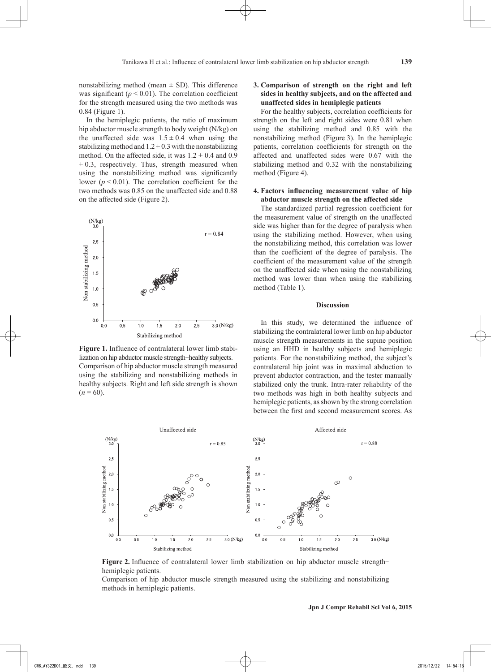nonstabilizing method (mean  $\pm$  SD). This difference was significant  $(p < 0.01)$ . The correlation coefficient for the strength measured using the two methods was 0.84 (Figure 1).

In the hemiplegic patients, the ratio of maximum hip abductor muscle strength to body weight (N/kg) on the unaffected side was  $1.5 \pm 0.4$  when using the stabilizing method and  $1.2 \pm 0.3$  with the nonstabilizing method. On the affected side, it was  $1.2 \pm 0.4$  and 0.9  $\pm$  0.3, respectively. Thus, strength measured when using the nonstabilizing method was significantly lower ( $p < 0.01$ ). The correlation coefficient for the two methods was 0.85 on the unaffected side and 0.88 on the affected side (Figure 2).



**Figure 1.** Influence of contralateral lower limb stabilization on hip abductor muscle strength-healthy subjects. Comparison of hip abductor muscle strength measured using the stabilizing and nonstabilizing methods in healthy subjects. Right and left side strength is shown  $(n = 60)$ .

# **3. Comparison of strength on the right and left sides in healthy subjects, and on the affected and unaffected sides in hemiplegic patients**

For the healthy subjects, correlation coefficients for strength on the left and right sides were 0.81 when using the stabilizing method and 0.85 with the nonstabilizing method (Figure 3). In the hemiplegic patients, correlation coefficients for strength on the affected and unaffected sides were 0.67 with the stabilizing method and 0.32 with the nonstabilizing method (Figure 4).

# **4. Factors influencing measurement value of hip abductor muscle strength on the affected side**

The standardized partial regression coefficient for the measurement value of strength on the unaffected side was higher than for the degree of paralysis when using the stabilizing method. However, when using the nonstabilizing method, this correlation was lower than the coefficient of the degree of paralysis. The coefficient of the measurement value of the strength on the unaffected side when using the nonstabilizing method was lower than when using the stabilizing method (Table 1).

# **Discussion**

In this study, we determined the influence of stabilizing the contralateral lower limb on hip abductor muscle strength measurements in the supine position using an HHD in healthy subjects and hemiplegic patients. For the nonstabilizing method, the subject's contralateral hip joint was in maximal abduction to prevent abductor contraction, and the tester manually stabilized only the trunk. Intra-rater reliability of the two methods was high in both healthy subjects and hemiplegic patients, as shown by the strong correlation between the first and second measurement scores. As



**Figure 2.** Influence of contralateral lower limb stabilization on hip abductor muscle strengthhemiplegic patients.

Comparison of hip abductor muscle strength measured using the stabilizing and nonstabilizing methods in hemiplegic patients.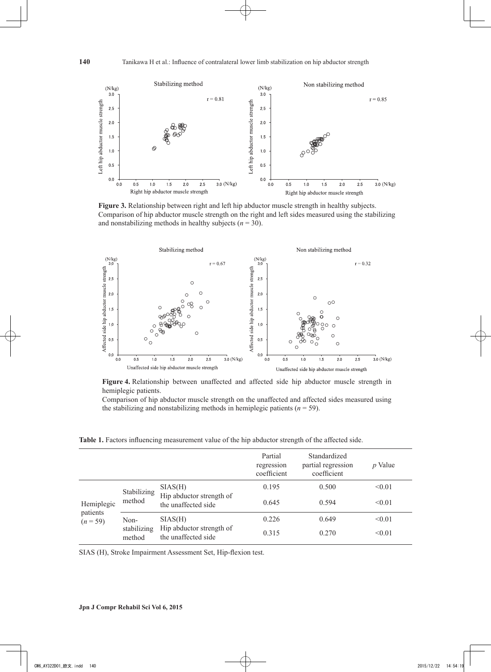

**Figure 3.** Relationship between right and left hip abductor muscle strength in healthy subjects. Comparison of hip abductor muscle strength on the right and left sides measured using the stabilizing and nonstabilizing methods in healthy subjects  $(n = 30)$ .



**Figure 4.** Relationship between unaffected and affected side hip abductor muscle strength in hemiplegic patients.

Comparison of hip abductor muscle strength on the unaffected and affected sides measured using the stabilizing and nonstabilizing methods in hemiplegic patients  $(n = 59)$ .

**Table 1.** Factors influencing measurement value of the hip abductor strength of the affected side.

|                                      |                               |                                                            | Partial<br>regression<br>coefficient | Standardized<br>partial regression<br>coefficient | $p$ Value |
|--------------------------------------|-------------------------------|------------------------------------------------------------|--------------------------------------|---------------------------------------------------|-----------|
| Hemiplegic<br>patients<br>$(n = 59)$ | Stabilizing<br>method         | SIAS(H)<br>Hip abductor strength of<br>the unaffected side | 0.195                                | 0.500                                             | < 0.01    |
|                                      |                               |                                                            | 0.645                                | 0.594                                             | < 0.01    |
|                                      | Non-<br>stabilizing<br>method | SIAS(H)<br>Hip abductor strength of<br>the unaffected side | 0.226                                | 0.649                                             | < 0.01    |
|                                      |                               |                                                            | 0.315                                | 0.270                                             | < 0.01    |

SIAS (H), Stroke Impairment Assessment Set, Hip-flexion test.

# **140**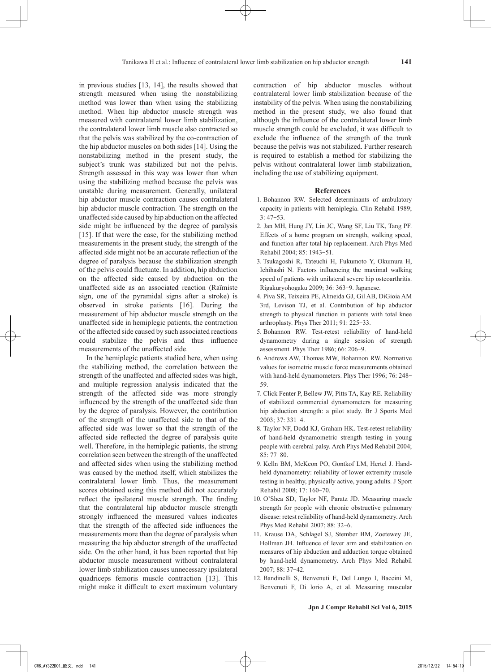in previous studies [13, 14], the results showed that strength measured when using the nonstabilizing method was lower than when using the stabilizing method. When hip abductor muscle strength was measured with contralateral lower limb stabilization, the contralateral lower limb muscle also contracted so that the pelvis was stabilized by the co-contraction of the hip abductor muscles on both sides [14]. Using the nonstabilizing method in the present study, the subject's trunk was stabilized but not the pelvis. Strength assessed in this way was lower than when using the stabilizing method because the pelvis was unstable during measurement. Generally, unilateral hip abductor muscle contraction causes contralateral hip abductor muscle contraction. The strength on the unaffected side caused by hip abduction on the affected side might be influenced by the degree of paralysis [15]. If that were the case, for the stabilizing method measurements in the present study, the strength of the affected side might not be an accurate reflection of the degree of paralysis because the stabilization strength of the pelvis could fluctuate. In addition, hip abduction on the affected side caused by abduction on the unaffected side as an associated reaction (Raïmiste sign, one of the pyramidal signs after a stroke) is observed in stroke patients [16]. During the measurement of hip abductor muscle strength on the unaffected side in hemiplegic patients, the contraction of the affected side caused by such associated reactions could stabilize the pelvis and thus influence measurements of the unaffected side.

In the hemiplegic patients studied here, when using the stabilizing method, the correlation between the strength of the unaffected and affected sides was high, and multiple regression analysis indicated that the strength of the affected side was more strongly influenced by the strength of the unaffected side than by the degree of paralysis. However, the contribution of the strength of the unaffected side to that of the affected side was lower so that the strength of the affected side reflected the degree of paralysis quite well. Therefore, in the hemiplegic patients, the strong correlation seen between the strength of the unaffected and affected sides when using the stabilizing method was caused by the method itself, which stabilizes the contralateral lower limb. Thus, the measurement scores obtained using this method did not accurately reflect the ipsilateral muscle strength. The finding that the contralateral hip abductor muscle strength strongly influenced the measured values indicates that the strength of the affected side influences the measurements more than the degree of paralysis when measuring the hip abductor strength of the unaffected side. On the other hand, it has been reported that hip abductor muscle measurement without contralateral lower limb stabilization causes unnecessary ipsilateral quadriceps femoris muscle contraction [13]. This might make it difficult to exert maximum voluntary

contraction of hip abductor muscles without contralateral lower limb stabilization because of the instability of the pelvis. When using the nonstabilizing method in the present study, we also found that although the influence of the contralateral lower limb muscle strength could be excluded, it was difficult to exclude the influence of the strength of the trunk because the pelvis was not stabilized. Further research is required to establish a method for stabilizing the pelvis without contralateral lower limb stabilization, including the use of stabilizing equipment.

#### **References**

- 1. Bohannon RW. Selected determinants of ambulatory capacity in patients with hemiplegia. Clin Rehabil 1989;  $3:47-53$ .
- 2. Jan MH, Hung JY, Lin JC, Wang SF, Liu TK, Tang PF. Effects of a home program on strength, walking speed, and function after total hip replacement. Arch Phys Med Rehabil 2004; 85: 1943-51.
- 3. Tsukagoshi R, Tateuchi H, Fukumoto Y, Okumura H, Ichihashi N. Factors influencing the maximal walking speed of patients with unilateral severe hip osteoarthritis. Rigakuryohogaku 2009; 36: 363-9. Japanese.
- 4. Piva SR, Teixeira PE, Almeida GJ, Gil AB, DiGioia AM 3rd, Levison TJ, et al. Contribution of hip abductor strength to physical function in patients with total knee arthroplasty. Phys Ther 2011; 91: 225-33.
- 5. Bohannon RW. Test-retest reliability of hand-held dynamometry during a single session of strength assessment. Phys Ther 1986; 66: 206-9.
- 6. Andrews AW, Thomas MW, Bohannon RW. Normative values for isometric muscle force measurements obtained with hand-held dynamometers. Phys Ther 1996; 76: 248- 59.
- 7. Click Fenter P, Bellew JW, Pitts TA, Kay RE. Reliability of stabilized commercial dynamometers for measuring hip abduction strength: a pilot study. Br J Sports Med 2003; 37: 331-4.
- 8. Taylor NF, Dodd KJ, Graham HK. Test-retest reliability of hand-held dynamometric strength testing in young people with cerebral palsy. Arch Phys Med Rehabil 2004; 85: 77-80.
- 9. Kelln BM, McKeon PO, Gontkof LM, Hertel J. Handheld dynamometry: reliability of lower extremity muscle testing in healthy, physically active, young adults. J Sport Rehabil 2008; 17: 160-70.
- 10. O'Shea SD, Taylor NF, Paratz JD. Measuring muscle strength for people with chronic obstructive pulmonary disease: retest reliability of hand-held dynamometry. Arch Phys Med Rehabil 2007; 88: 32-6.
- 11. Krause DA, Schlagel SJ, Stember BM, Zoetewey JE, Hollman JH. Influence of lever arm and stabilization on measures of hip abduction and adduction torque obtained by hand-held dynamometry. Arch Phys Med Rehabil 2007; 88: 37-42.
- 12. Bandinelli S, Benvenuti E, Del Lungo I, Baccini M, Benvenuti F, Di lorio A, et al. Measuring muscular